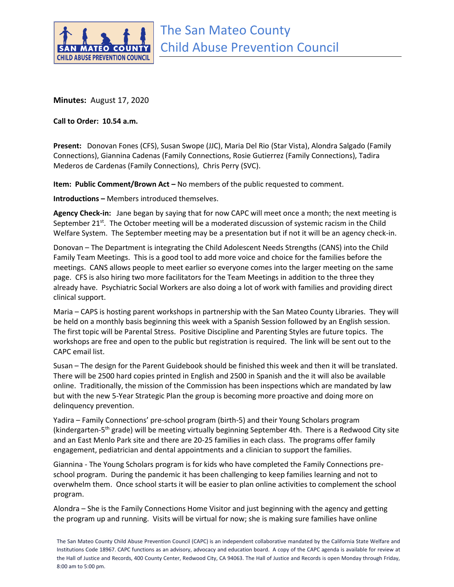

**Minutes:** August 17, 2020

**Call to Order: 10.54 a.m.**

**Present:** Donovan Fones (CFS), Susan Swope (JJC), Maria Del Rio (Star Vista), Alondra Salgado (Family Connections), Giannina Cadenas (Family Connections, Rosie Gutierrez (Family Connections), Tadira Mederos de Cardenas (Family Connections), Chris Perry (SVC).

**Item: Public Comment/Brown Act –** No members of the public requested to comment.

**Introductions –** Members introduced themselves.

**Agency Check-in:** Jane began by saying that for now CAPC will meet once a month; the next meeting is September 21 $<sup>st</sup>$ . The October meeting will be a moderated discussion of systemic racism in the Child</sup> Welfare System. The September meeting may be a presentation but if not it will be an agency check-in.

Donovan – The Department is integrating the Child Adolescent Needs Strengths (CANS) into the Child Family Team Meetings. This is a good tool to add more voice and choice for the families before the meetings. CANS allows people to meet earlier so everyone comes into the larger meeting on the same page. CFS is also hiring two more facilitators for the Team Meetings in addition to the three they already have. Psychiatric Social Workers are also doing a lot of work with families and providing direct clinical support.

Maria – CAPS is hosting parent workshops in partnership with the San Mateo County Libraries. They will be held on a monthly basis beginning this week with a Spanish Session followed by an English session. The first topic will be Parental Stress. Positive Discipline and Parenting Styles are future topics. The workshops are free and open to the public but registration is required. The link will be sent out to the CAPC email list.

Susan – The design for the Parent Guidebook should be finished this week and then it will be translated. There will be 2500 hard copies printed in English and 2500 in Spanish and the it will also be available online. Traditionally, the mission of the Commission has been inspections which are mandated by law but with the new 5-Year Strategic Plan the group is becoming more proactive and doing more on delinquency prevention.

Yadira – Family Connections' pre-school program (birth-5) and their Young Scholars program (kindergarten-5<sup>th</sup> grade) will be meeting virtually beginning September 4th. There is a Redwood City site and an East Menlo Park site and there are 20-25 families in each class. The programs offer family engagement, pediatrician and dental appointments and a clinician to support the families.

Giannina - The Young Scholars program is for kids who have completed the Family Connections preschool program. During the pandemic it has been challenging to keep families learning and not to overwhelm them. Once school starts it will be easier to plan online activities to complement the school program.

Alondra – She is the Family Connections Home Visitor and just beginning with the agency and getting the program up and running. Visits will be virtual for now; she is making sure families have online

The San Mateo County Child Abuse Prevention Council (CAPC) is an independent collaborative mandated by the California State Welfare and Institutions Code 18967. CAPC functions as an advisory, advocacy and education board. A copy of the CAPC agenda is available for review at the Hall of Justice and Records, 400 County Center, Redwood City, CA 94063. The Hall of Justice and Records is open Monday through Friday, 8:00 am to 5:00 pm.